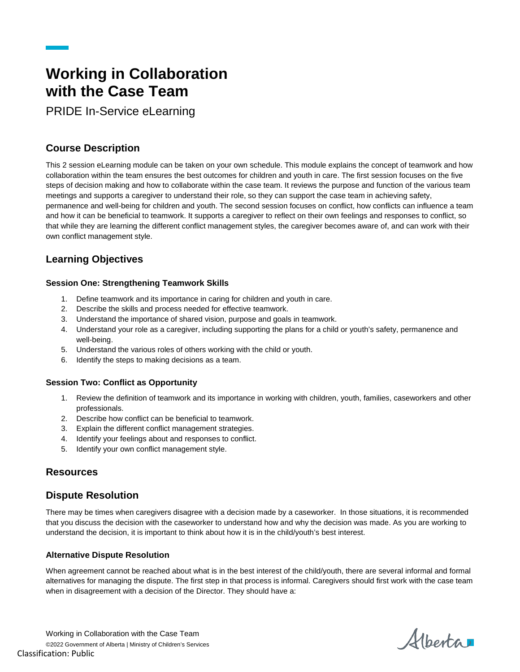# **Working in Collaboration with the Case Team**

PRIDE In-Service eLearning

# **Course Description**

This 2 session eLearning module can be taken on your own schedule. This module explains the concept of teamwork and how collaboration within the team ensures the best outcomes for children and youth in care. The first session focuses on the five steps of decision making and how to collaborate within the case team. It reviews the purpose and function of the various team meetings and supports a caregiver to understand their role, so they can support the case team in achieving safety, permanence and well-being for children and youth. The second session focuses on conflict, how conflicts can influence a team and how it can be beneficial to teamwork. It supports a caregiver to reflect on their own feelings and responses to conflict, so that while they are learning the different conflict management styles, the caregiver becomes aware of, and can work with their own conflict management style.

# **Learning Objectives**

## **Session One: Strengthening Teamwork Skills**

- 1. Define teamwork and its importance in caring for children and youth in care.
- 2. Describe the skills and process needed for effective teamwork.
- 3. Understand the importance of shared vision, purpose and goals in teamwork.
- 4. Understand your role as a caregiver, including supporting the plans for a child or youth's safety, permanence and well-being.
- 5. Understand the various roles of others working with the child or youth.
- 6. Identify the steps to making decisions as a team.

## **Session Two: Conflict as Opportunity**

- 1. Review the definition of teamwork and its importance in working with children, youth, families, caseworkers and other professionals.
- 2. Describe how conflict can be beneficial to teamwork.
- 3. Explain the different conflict management strategies.
- 4. Identify your feelings about and responses to conflict.
- 5. Identify your own conflict management style.

# **Resources**

# **Dispute Resolution**

There may be times when caregivers disagree with a decision made by a caseworker. In those situations, it is recommended that you discuss the decision with the caseworker to understand how and why the decision was made. As you are working to understand the decision, it is important to think about how it is in the child/youth's best interest.

## **Alternative Dispute Resolution**

When agreement cannot be reached about what is in the best interest of the child/youth, there are several informal and formal alternatives for managing the dispute. The first step in that process is informal. Caregivers should first work with the case team when in disagreement with a decision of the Director. They should have a:

Alberta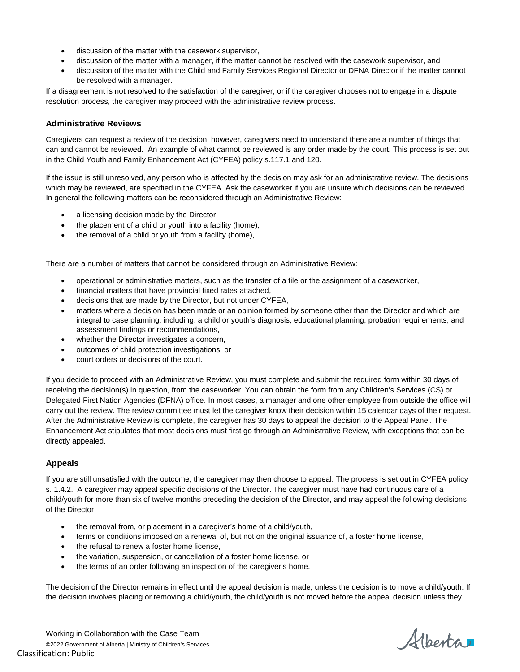- discussion of the matter with the casework supervisor,
- discussion of the matter with a manager, if the matter cannot be resolved with the casework supervisor, and
- discussion of the matter with the Child and Family Services Regional Director or DFNA Director if the matter cannot be resolved with a manager.

If a disagreement is not resolved to the satisfaction of the caregiver, or if the caregiver chooses not to engage in a dispute resolution process, the caregiver may proceed with the administrative review process.

#### **Administrative Reviews**

Caregivers can request a review of the decision; however, caregivers need to understand there are a number of things that can and cannot be reviewed. An example of what cannot be reviewed is any order made by the court. This process is set out in the Child Youth and Family Enhancement Act (CYFEA) policy s.117.1 and 120.

If the issue is still unresolved, any person who is affected by the decision may ask for an administrative review. The decisions which may be reviewed, are specified in the CYFEA. Ask the caseworker if you are unsure which decisions can be reviewed. In general the following matters can be reconsidered through an Administrative Review:

- a licensing decision made by the Director,
- the placement of a child or youth into a facility (home),
- the removal of a child or youth from a facility (home),

There are a number of matters that cannot be considered through an Administrative Review:

- operational or administrative matters, such as the transfer of a file or the assignment of a caseworker,
- financial matters that have provincial fixed rates attached,
- decisions that are made by the Director, but not under CYFEA,
- matters where a decision has been made or an opinion formed by someone other than the Director and which are integral to case planning, including: a child or youth's diagnosis, educational planning, probation requirements, and assessment findings or recommendations,
- whether the Director investigates a concern,
- outcomes of child protection investigations, or
- court orders or decisions of the court.

If you decide to proceed with an Administrative Review, you must complete and submit the required form within 30 days of receiving the decision(s) in question, from the caseworker. You can obtain the form from any Children's Services (CS) or Delegated First Nation Agencies (DFNA) office. In most cases, a manager and one other employee from outside the office will carry out the review. The review committee must let the caregiver know their decision within 15 calendar days of their request. After the Administrative Review is complete, the caregiver has 30 days to appeal the decision to the Appeal Panel. The Enhancement Act stipulates that most decisions must first go through an Administrative Review, with exceptions that can be directly appealed.

#### **Appeals**

If you are still unsatisfied with the outcome, the caregiver may then choose to appeal. The process is set out in CYFEA policy s. 1.4.2. A caregiver may appeal specific decisions of the Director. The caregiver must have had continuous care of a child/youth for more than six of twelve months preceding the decision of the Director, and may appeal the following decisions of the Director:

- the removal from, or placement in a caregiver's home of a child/youth,
- terms or conditions imposed on a renewal of, but not on the original issuance of, a foster home license,
- the refusal to renew a foster home license,
- the variation, suspension, or cancellation of a foster home license, or
- the terms of an order following an inspection of the caregiver's home.

The decision of the Director remains in effect until the appeal decision is made, unless the decision is to move a child/youth. If the decision involves placing or removing a child/youth, the child/youth is not moved before the appeal decision unless they

Alberta